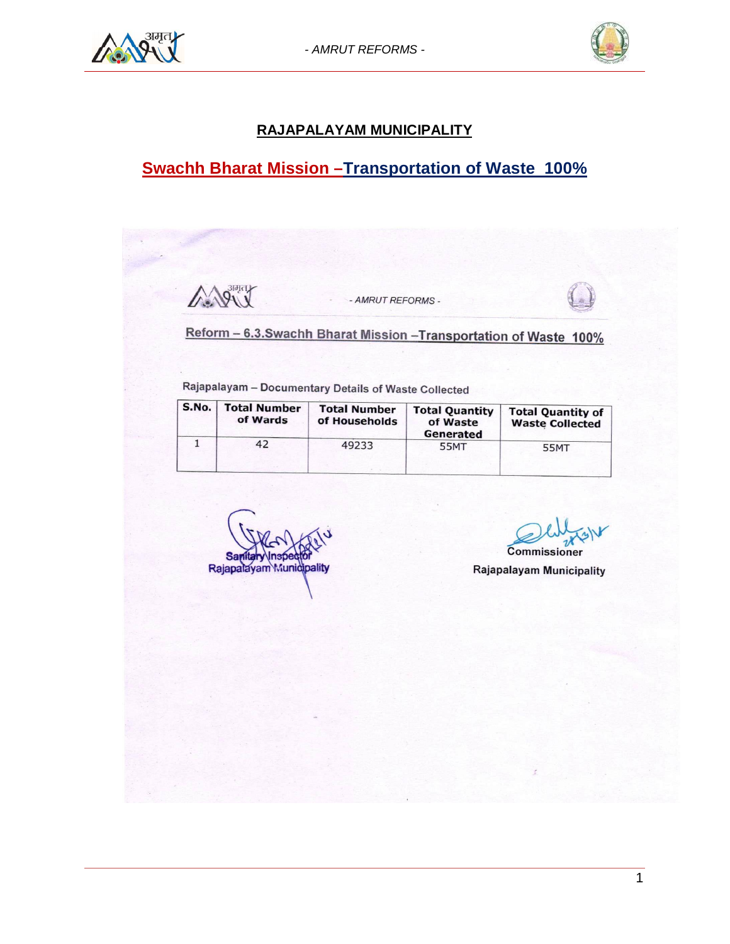



### **RAJAPALAYAM MUNICIPALITY**

# **Swachh Bharat Mission –Transportation of Waste 100%**

Ally - AMRUT REFORMS -Reform - 6.3. Swachh Bharat Mission - Transportation of Waste 100% Rajapalayam - Documentary Details of Waste Collected S.No. **Total Number Total Number Total Quantity Total Quantity of** of Wards of Households of Waste **Waste Collected** Generated  $\overline{\mathbf{1}}$ 42 49233 **55MT 55MT** Commissioner Rajapalayam Munidipality Rajapalayam Municipality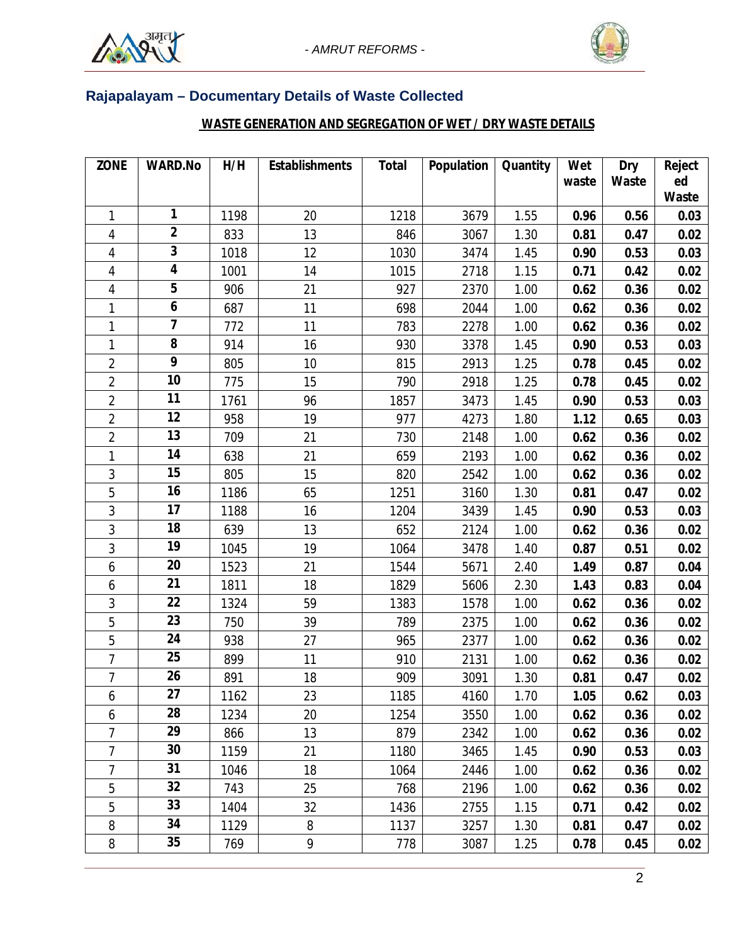



## **Rajapalayam – Documentary Details of Waste Collected**

## **WASTE GENERATION AND SEGREGATION OF WET / DRY WASTE DETAILS**

| <b>ZONE</b>    | <b>WARD.No</b>          | H/H  | <b>Establishments</b> | <b>Total</b> | Population | <b>Quantity</b> | Wet   | Dry   | <b>Reject</b> |
|----------------|-------------------------|------|-----------------------|--------------|------------|-----------------|-------|-------|---------------|
|                |                         |      |                       |              |            |                 | waste | Waste | ed            |
|                | 1                       |      |                       | 1218         |            |                 |       |       | Waste         |
| 1              | $\mathbf{2}$            | 1198 | 20                    |              | 3679       | 1.55            | 0.96  | 0.56  | 0.03          |
| 4              | $\overline{\mathbf{3}}$ | 833  | 13                    | 846          | 3067       | 1.30            | 0.81  | 0.47  | 0.02          |
| 4              | $\overline{\mathbf{4}}$ | 1018 | 12                    | 1030         | 3474       | 1.45            | 0.90  | 0.53  | 0.03          |
| 4              | 5                       | 1001 | 14                    | 1015         | 2718       | 1.15            | 0.71  | 0.42  | 0.02          |
| 4              | $\boldsymbol{6}$        | 906  | 21                    | 927          | 2370       | 1.00            | 0.62  | 0.36  | 0.02          |
| 1              | $\overline{\mathbf{z}}$ | 687  | 11                    | 698          | 2044       | 1.00            | 0.62  | 0.36  | 0.02          |
| 1              | 8                       | 772  | 11                    | 783          | 2278       | 1.00            | 0.62  | 0.36  | 0.02          |
| 1              | 9                       | 914  | 16                    | 930          | 3378       | 1.45            | 0.90  | 0.53  | 0.03          |
| $\overline{c}$ | 10                      | 805  | 10                    | 815          | 2913       | 1.25            | 0.78  | 0.45  | 0.02          |
| 2              |                         | 775  | 15                    | 790          | 2918       | 1.25            | 0.78  | 0.45  | 0.02          |
| 2              | 11<br>12                | 1761 | 96                    | 1857         | 3473       | 1.45            | 0.90  | 0.53  | 0.03          |
| $\overline{c}$ |                         | 958  | 19                    | 977          | 4273       | 1.80            | 1.12  | 0.65  | 0.03          |
| $\overline{2}$ | 13                      | 709  | 21                    | 730          | 2148       | 1.00            | 0.62  | 0.36  | 0.02          |
| 1              | 14                      | 638  | 21                    | 659          | 2193       | 1.00            | 0.62  | 0.36  | 0.02          |
| 3              | 15                      | 805  | 15                    | 820          | 2542       | 1.00            | 0.62  | 0.36  | 0.02          |
| 5              | 16                      | 1186 | 65                    | 1251         | 3160       | 1.30            | 0.81  | 0.47  | 0.02          |
| 3              | 17                      | 1188 | 16                    | 1204         | 3439       | 1.45            | 0.90  | 0.53  | 0.03          |
| 3              | 18                      | 639  | 13                    | 652          | 2124       | 1.00            | 0.62  | 0.36  | 0.02          |
| 3              | 19                      | 1045 | 19                    | 1064         | 3478       | 1.40            | 0.87  | 0.51  | 0.02          |
| 6              | 20                      | 1523 | 21                    | 1544         | 5671       | 2.40            | 1.49  | 0.87  | 0.04          |
| 6              | 21                      | 1811 | 18                    | 1829         | 5606       | 2.30            | 1.43  | 0.83  | 0.04          |
| 3              | 22                      | 1324 | 59                    | 1383         | 1578       | 1.00            | 0.62  | 0.36  | 0.02          |
| 5              | 23                      | 750  | 39                    | 789          | 2375       | 1.00            | 0.62  | 0.36  | 0.02          |
| 5              | 24                      | 938  | 27                    | 965          | 2377       | 1.00            | 0.62  | 0.36  | 0.02          |
| 7              | 25                      | 899  | 11                    | 910          | 2131       | 1.00            | 0.62  | 0.36  | 0.02          |
| $\overline{7}$ | 26                      | 891  | 18                    | 909          | 3091       | 1.30            | 0.81  | 0.47  | 0.02          |
| 6              | 27                      | 1162 | 23                    | 1185         | 4160       | 1.70            | 1.05  | 0.62  | 0.03          |
| 6              | 28                      | 1234 | 20                    | 1254         | 3550       | 1.00            | 0.62  | 0.36  | 0.02          |
| 7              | 29                      | 866  | 13                    | 879          | 2342       | 1.00            | 0.62  | 0.36  | 0.02          |
| $\overline{7}$ | 30                      | 1159 | 21                    | 1180         | 3465       | 1.45            | 0.90  | 0.53  | 0.03          |
| 7              | 31                      | 1046 | 18                    | 1064         | 2446       | 1.00            | 0.62  | 0.36  | 0.02          |
| 5              | 32                      | 743  | 25                    | 768          | 2196       | 1.00            | 0.62  | 0.36  | 0.02          |
| 5              | 33                      | 1404 | 32                    | 1436         | 2755       | 1.15            | 0.71  | 0.42  | 0.02          |
| 8              | 34                      | 1129 | 8                     | 1137         | 3257       | 1.30            | 0.81  | 0.47  | 0.02          |
| 8              | 35                      | 769  | 9                     | 778          | 3087       | 1.25            | 0.78  | 0.45  | 0.02          |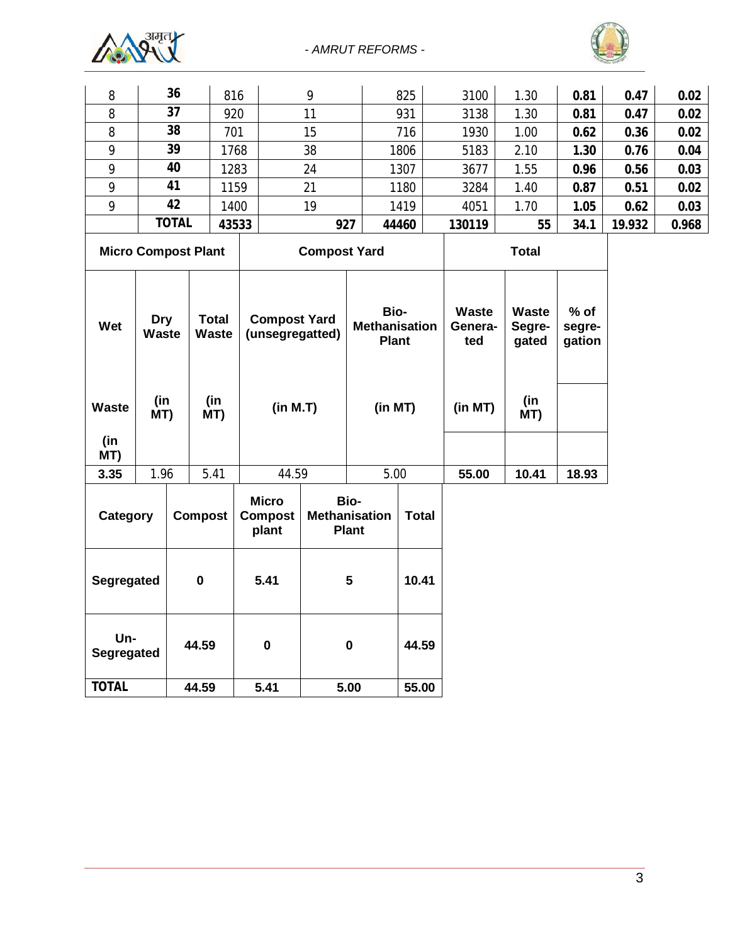



| 8                                 |                       | 36             | 816                   |                                         | 9                   |                                              | 825          | 3100                           | 1.30                            | 0.81                       | 0.47  | 0.02 |
|-----------------------------------|-----------------------|----------------|-----------------------|-----------------------------------------|---------------------|----------------------------------------------|--------------|--------------------------------|---------------------------------|----------------------------|-------|------|
| 8                                 |                       | 37             | 920                   |                                         | 11                  |                                              | 931          | 3138                           | 1.30                            | 0.81                       | 0.47  | 0.02 |
| 8                                 |                       | 38             | 701                   |                                         | 15                  |                                              | 716          | 1930                           | 1.00                            | 0.62                       | 0.36  | 0.02 |
| 9                                 |                       | 39             |                       | 1768                                    | 38                  |                                              | 1806         | 5183                           | 2.10                            | 1.30                       | 0.76  | 0.04 |
| 9                                 |                       | 40             |                       | 1283                                    | 24                  |                                              | 1307         | 3677                           | 1.55                            | 0.96                       | 0.56  | 0.03 |
| 9                                 |                       | 41<br>1159     |                       |                                         | 21                  |                                              | 1180         | 3284                           | 1.40                            | 0.87                       | 0.51  | 0.02 |
| 9                                 | 42                    |                |                       | 1400                                    | 19                  | 1419                                         |              | 4051                           | 1.70                            | 1.05                       | 0.62  | 0.03 |
|                                   | <b>TOTAL</b><br>43533 |                |                       | 927                                     |                     | 44460                                        | 130119       | 55                             | 34.1                            | 19.932                     | 0.968 |      |
| <b>Micro Compost Plant</b>        |                       |                |                       |                                         | <b>Compost Yard</b> |                                              |              | <b>Total</b>                   |                                 |                            |       |      |
| <b>Dry</b><br>Wet<br><b>Waste</b> |                       |                | <b>Total</b><br>Waste | <b>Compost Yard</b><br>(unsegregatted)  |                     | Bio-<br><b>Methanisation</b><br><b>Plant</b> |              | <b>Waste</b><br>Genera-<br>ted | <b>Waste</b><br>Segre-<br>gated | $%$ of<br>segre-<br>gation |       |      |
| <b>Waste</b><br>(in<br>MT)        | (in<br>MT)            |                | (in<br>MT)            | (in M.T)                                |                     | (in MT)                                      |              | (in MT)                        | (in<br>MT)                      |                            |       |      |
| 3.35                              | 1.96                  |                | 5.41                  | 44.59                                   |                     | 5.00                                         |              | 55.00                          | 10.41                           | 18.93                      |       |      |
| Category                          |                       | <b>Compost</b> |                       | <b>Micro</b><br><b>Compost</b><br>plant |                     | Bio-<br><b>Methanisation</b><br><b>Plant</b> | <b>Total</b> |                                |                                 |                            |       |      |
| Segregated                        |                       |                | $\pmb{0}$             | 5.41                                    |                     | 5                                            | 10.41        |                                |                                 |                            |       |      |
| Un-<br>Segregated                 |                       | 44.59          |                       | $\bf{0}$                                | $\pmb{0}$           |                                              | 44.59        |                                |                                 |                            |       |      |
| <b>TOTAL</b>                      |                       |                | 44.59                 | 5.41                                    |                     | 5.00                                         | 55.00        |                                |                                 |                            |       |      |